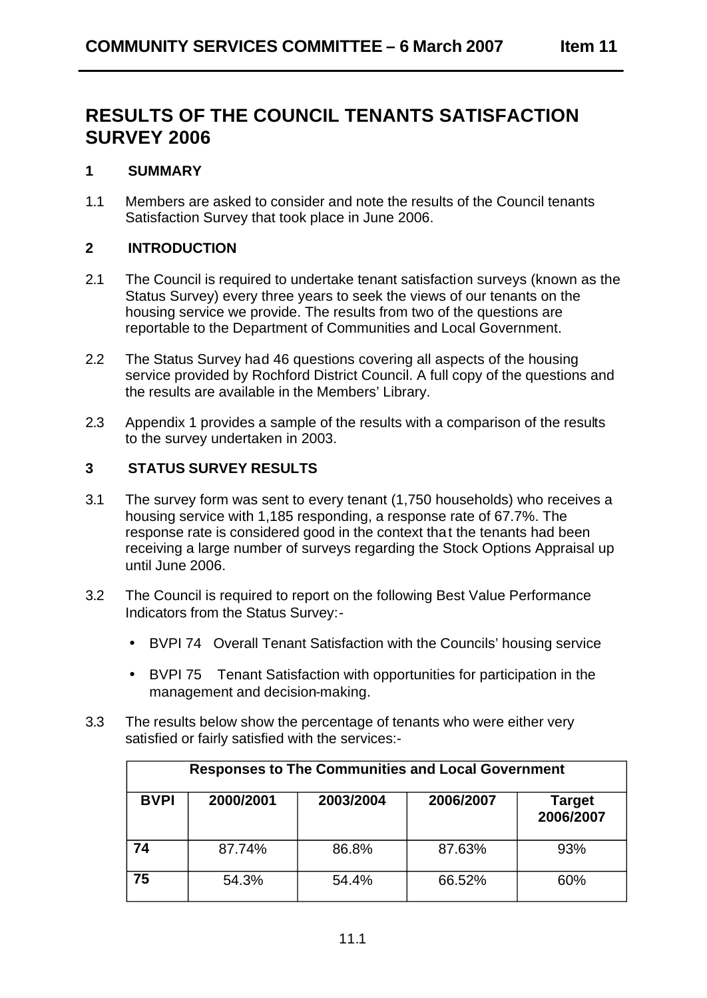# **RESULTS OF THE COUNCIL TENANTS SATISFACTION SURVEY 2006**

### **1 SUMMARY**

1.1 Members are asked to consider and note the results of the Council tenants Satisfaction Survey that took place in June 2006.

## **2 INTRODUCTION**

- 2.1 The Council is required to undertake tenant satisfaction surveys (known as the Status Survey) every three years to seek the views of our tenants on the housing service we provide. The results from two of the questions are reportable to the Department of Communities and Local Government.
- 2.2 The Status Survey had 46 questions covering all aspects of the housing service provided by Rochford District Council. A full copy of the questions and the results are available in the Members' Library.
- 2.3 Appendix 1 provides a sample of the results with a comparison of the results to the survey undertaken in 2003.

### **3 STATUS SURVEY RESULTS**

- 3.1 The survey form was sent to every tenant (1,750 households) who receives a housing service with 1,185 responding, a response rate of 67.7%. The response rate is considered good in the context tha t the tenants had been receiving a large number of surveys regarding the Stock Options Appraisal up until June 2006.
- 3.2 The Council is required to report on the following Best Value Performance Indicators from the Status Survey:-
	- BVPI 74 Overall Tenant Satisfaction with the Councils' housing service
	- BVPI 75 Tenant Satisfaction with opportunities for participation in the management and decision-making.
- 3.3 The results below show the percentage of tenants who were either very satisfied or fairly satisfied with the services:-

| <b>Responses to The Communities and Local Government</b> |           |           |           |                     |
|----------------------------------------------------------|-----------|-----------|-----------|---------------------|
| <b>BVPI</b>                                              | 2000/2001 | 2003/2004 | 2006/2007 | Target<br>2006/2007 |
| 74                                                       | 87.74%    | 86.8%     | 87.63%    | 93%                 |
| 75                                                       | 54.3%     | 54.4%     | 66.52%    | 60%                 |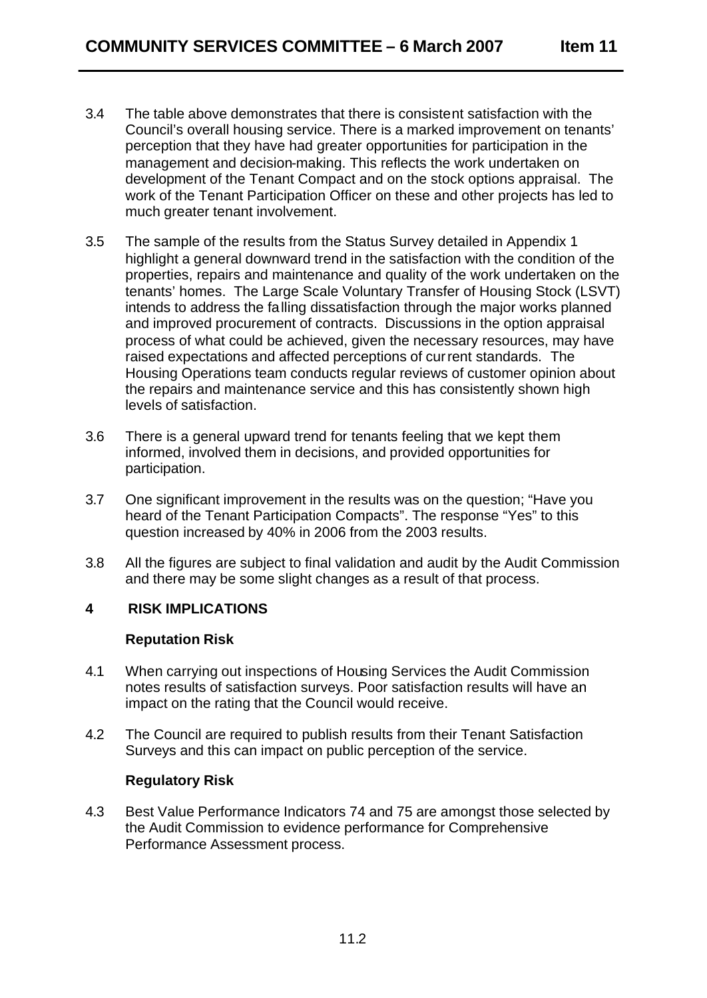- 3.4 The table above demonstrates that there is consistent satisfaction with the Council's overall housing service. There is a marked improvement on tenants' perception that they have had greater opportunities for participation in the management and decision-making. This reflects the work undertaken on development of the Tenant Compact and on the stock options appraisal. The work of the Tenant Participation Officer on these and other projects has led to much greater tenant involvement.
- 3.5 The sample of the results from the Status Survey detailed in Appendix 1 highlight a general downward trend in the satisfaction with the condition of the properties, repairs and maintenance and quality of the work undertaken on the tenants' homes. The Large Scale Voluntary Transfer of Housing Stock (LSVT) intends to address the fa lling dissatisfaction through the major works planned and improved procurement of contracts. Discussions in the option appraisal process of what could be achieved, given the necessary resources, may have raised expectations and affected perceptions of cur rent standards. The Housing Operations team conducts regular reviews of customer opinion about the repairs and maintenance service and this has consistently shown high levels of satisfaction.
- 3.6 There is a general upward trend for tenants feeling that we kept them informed, involved them in decisions, and provided opportunities for participation.
- 3.7 One significant improvement in the results was on the question; "Have you heard of the Tenant Participation Compacts". The response "Yes" to this question increased by 40% in 2006 from the 2003 results.
- 3.8 All the figures are subject to final validation and audit by the Audit Commission and there may be some slight changes as a result of that process.

## **4 RISK IMPLICATIONS**

#### **Reputation Risk**

- 4.1 When carrying out inspections of Housing Services the Audit Commission notes results of satisfaction surveys. Poor satisfaction results will have an impact on the rating that the Council would receive.
- 4.2 The Council are required to publish results from their Tenant Satisfaction Surveys and this can impact on public perception of the service.

## **Regulatory Risk**

4.3 Best Value Performance Indicators 74 and 75 are amongst those selected by the Audit Commission to evidence performance for Comprehensive Performance Assessment process.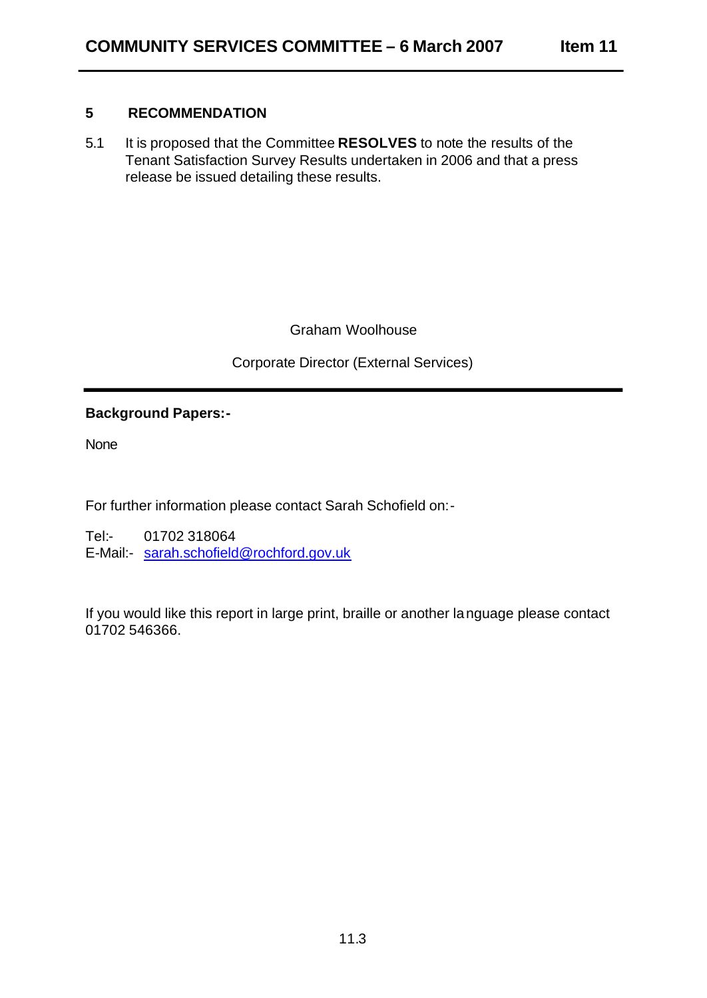## **5 RECOMMENDATION**

5.1 It is proposed that the Committee **RESOLVES** to note the results of the Tenant Satisfaction Survey Results undertaken in 2006 and that a press release be issued detailing these results.

Graham Woolhouse

Corporate Director (External Services)

## **Background Papers:-**

None

For further information please contact Sarah Schofield on:-

Tel:- 01702 318064 E-Mail:- sarah.schofield@rochford.gov.uk

If you would like this report in large print, braille or another la nguage please contact 01702 546366.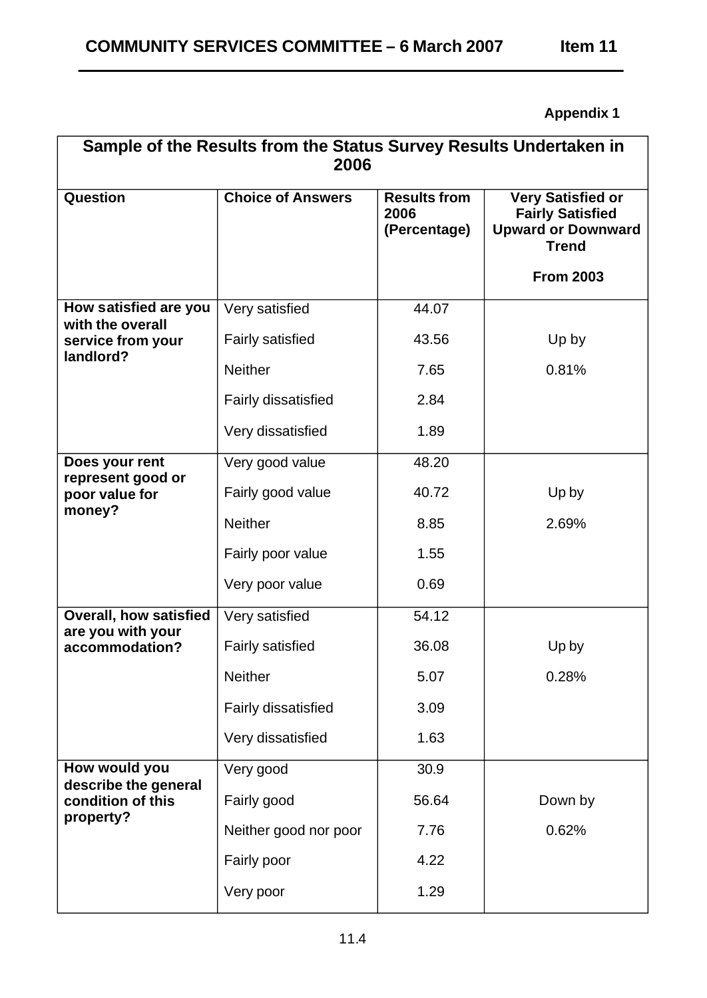# **Appendix 1**

| Sample of the Results from the Status Survey Results Undertaken in<br>2006 |                            |                                             |                                                                                                  |
|----------------------------------------------------------------------------|----------------------------|---------------------------------------------|--------------------------------------------------------------------------------------------------|
| <b>Question</b>                                                            | <b>Choice of Answers</b>   | <b>Results from</b><br>2006<br>(Percentage) | <b>Very Satisfied or</b><br><b>Fairly Satisfied</b><br><b>Upward or Downward</b><br><b>Trend</b> |
|                                                                            |                            |                                             | <b>From 2003</b>                                                                                 |
| How satisfied are you<br>with the overall                                  | Very satisfied             | 44.07                                       |                                                                                                  |
| service from your<br>landlord?                                             | <b>Fairly satisfied</b>    | 43.56                                       | Up by                                                                                            |
|                                                                            | <b>Neither</b>             | 7.65                                        | 0.81%                                                                                            |
|                                                                            | <b>Fairly dissatisfied</b> | 2.84                                        |                                                                                                  |
|                                                                            | Very dissatisfied          | 1.89                                        |                                                                                                  |
| Does your rent<br>represent good or                                        | Very good value            | 48.20                                       |                                                                                                  |
| poor value for                                                             | Fairly good value          | 40.72                                       | Up by                                                                                            |
| money?                                                                     | <b>Neither</b>             | 8.85                                        | 2.69%                                                                                            |
|                                                                            | Fairly poor value          | 1.55                                        |                                                                                                  |
|                                                                            | Very poor value            | 0.69                                        |                                                                                                  |
| <b>Overall, how satisfied</b><br>are you with your                         | Very satisfied             | 54.12                                       |                                                                                                  |
| accommodation?                                                             | <b>Fairly satisfied</b>    | 36.08                                       | Up by                                                                                            |
|                                                                            | <b>Neither</b>             | 5.07                                        | 0.28%                                                                                            |
|                                                                            | Fairly dissatisfied        | 3.09                                        |                                                                                                  |
|                                                                            | Very dissatisfied          | 1.63                                        |                                                                                                  |
| How would you                                                              | Very good                  | 30.9                                        |                                                                                                  |
| describe the general<br>condition of this                                  | Fairly good                | 56.64                                       | Down by                                                                                          |
| property?                                                                  | Neither good nor poor      | 7.76                                        | 0.62%                                                                                            |
|                                                                            | Fairly poor                | 4.22                                        |                                                                                                  |
|                                                                            | Very poor                  | 1.29                                        |                                                                                                  |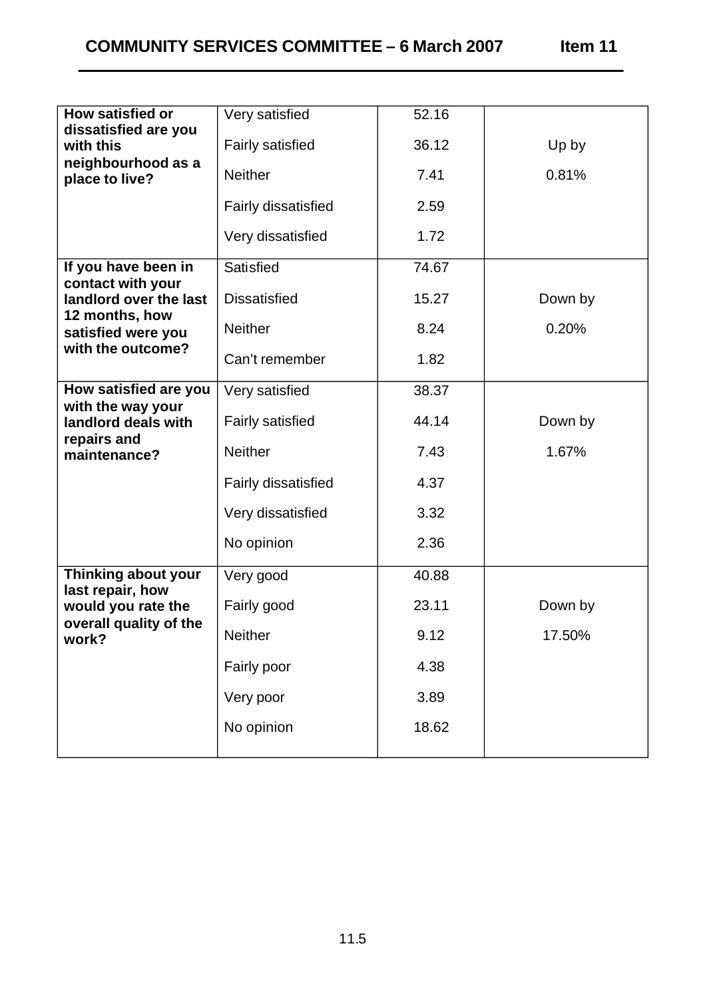| <b>How satisfied or</b>                    | Very satisfied             | 52.16 |         |
|--------------------------------------------|----------------------------|-------|---------|
| dissatisfied are you<br>with this          | <b>Fairly satisfied</b>    | 36.12 | Up by   |
| neighbourhood as a<br>place to live?       | <b>Neither</b>             | 7.41  | 0.81%   |
|                                            | <b>Fairly dissatisfied</b> | 2.59  |         |
|                                            | Very dissatisfied          | 1.72  |         |
| If you have been in<br>contact with your   | Satisfied                  | 74.67 |         |
| landlord over the last                     | <b>Dissatisfied</b>        | 15.27 | Down by |
| 12 months, how<br>satisfied were you       | <b>Neither</b>             | 8.24  | 0.20%   |
| with the outcome?                          | Can't remember             | 1.82  |         |
| How satisfied are you<br>with the way your | Very satisfied             | 38.37 |         |
| landlord deals with                        | <b>Fairly satisfied</b>    | 44.14 | Down by |
| repairs and<br>maintenance?                | <b>Neither</b>             | 7.43  | 1.67%   |
|                                            | Fairly dissatisfied        | 4.37  |         |
|                                            | Very dissatisfied          | 3.32  |         |
|                                            | No opinion                 | 2.36  |         |
| Thinking about your<br>last repair, how    | Very good                  | 40.88 |         |
| would you rate the                         | Fairly good                | 23.11 | Down by |
| overall quality of the<br>work?            | Neither                    | 9.12  | 17.50%  |
|                                            | Fairly poor                | 4.38  |         |
|                                            | Very poor                  | 3.89  |         |
|                                            | No opinion                 | 18.62 |         |
|                                            |                            |       |         |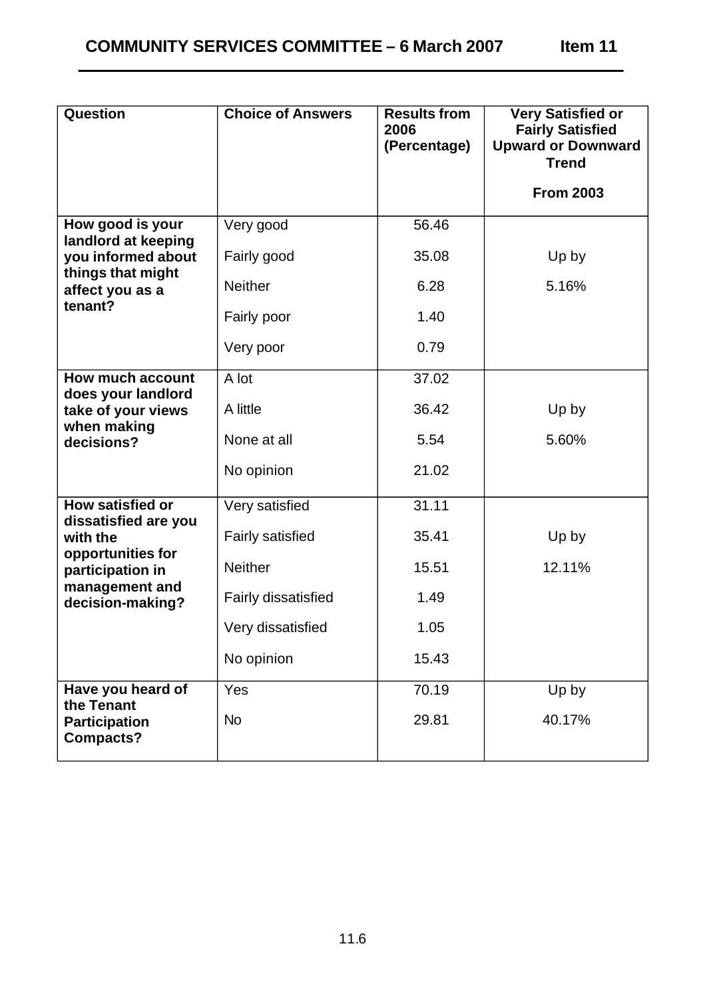| <b>Question</b>                                 | <b>Choice of Answers</b> | <b>Results from</b><br>2006<br>(Percentage) | <b>Very Satisfied or</b><br><b>Fairly Satisfied</b><br><b>Upward or Downward</b> |
|-------------------------------------------------|--------------------------|---------------------------------------------|----------------------------------------------------------------------------------|
|                                                 |                          |                                             | <b>Trend</b>                                                                     |
|                                                 |                          |                                             | <b>From 2003</b>                                                                 |
| How good is your<br>landlord at keeping         | Very good                | 56.46                                       |                                                                                  |
| you informed about<br>things that might         | Fairly good              | 35.08                                       | Up by                                                                            |
| affect you as a<br>tenant?                      | <b>Neither</b>           | 6.28                                        | 5.16%                                                                            |
|                                                 | Fairly poor              | 1.40                                        |                                                                                  |
|                                                 | Very poor                | 0.79                                        |                                                                                  |
| <b>How much account</b><br>does your landlord   | A lot                    | 37.02                                       |                                                                                  |
| take of your views                              | A little                 | 36.42                                       | Up by                                                                            |
| when making<br>decisions?                       | None at all              | 5.54                                        | 5.60%                                                                            |
|                                                 | No opinion               | 21.02                                       |                                                                                  |
| <b>How satisfied or</b><br>dissatisfied are you | Very satisfied           | 31.11                                       |                                                                                  |
| with the                                        | <b>Fairly satisfied</b>  | 35.41                                       | Up by                                                                            |
| opportunities for<br>participation in           | <b>Neither</b>           | 15.51                                       | 12.11%                                                                           |
| management and<br>decision-making?              | Fairly dissatisfied      | 1.49                                        |                                                                                  |
|                                                 | Very dissatisfied        | 1.05                                        |                                                                                  |
|                                                 | No opinion               | 15.43                                       |                                                                                  |
| Have you heard of<br>the Tenant                 | Yes                      | 70.19                                       | Up by                                                                            |
| <b>Participation</b><br><b>Compacts?</b>        | <b>No</b>                | 29.81                                       | 40.17%                                                                           |